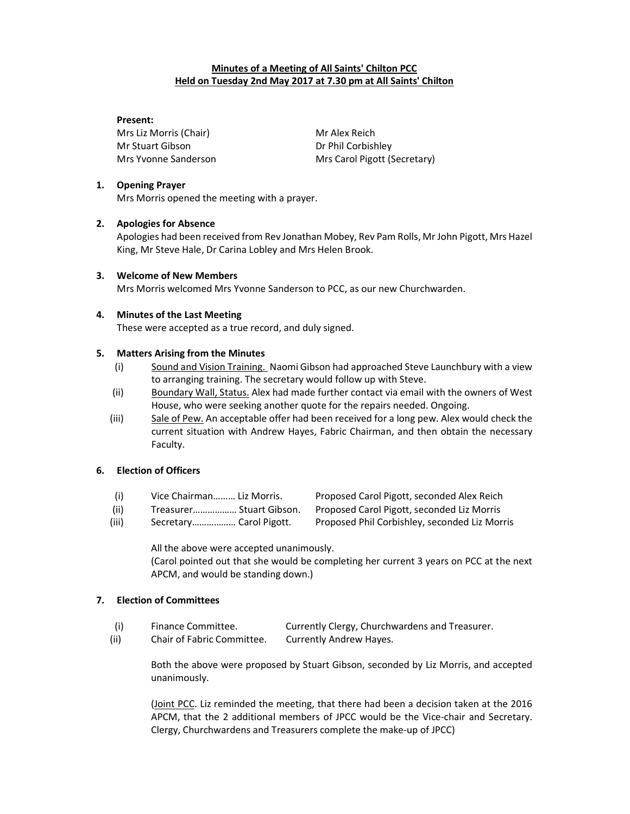# Minutes of a Meeting of All Saints' Chilton PCC Held on Tuesday 2nd May 2017 at 7.30 pm at All Saints' Chilton

#### Present:

Mrs Liz Morris (Chair) Mr Alex Reich Mr Stuart Gibson Dr Phil Corbishley

Mrs Yvonne Sanderson Mrs Carol Pigott (Secretary)

### 1. Opening Prayer

Mrs Morris opened the meeting with a prayer.

### 2. Apologies for Absence

Apologies had been received from Rev Jonathan Mobey, Rev Pam Rolls, Mr John Pigott, Mrs Hazel King, Mr Steve Hale, Dr Carina Lobley and Mrs Helen Brook.

### 3. Welcome of New Members

Mrs Morris welcomed Mrs Yvonne Sanderson to PCC, as our new Churchwarden.

### 4. Minutes of the Last Meeting

These were accepted as a true record, and duly signed.

### 5. Matters Arising from the Minutes

- (i) Sound and Vision Training. Naomi Gibson had approached Steve Launchbury with a view to arranging training. The secretary would follow up with Steve.
- (ii) Boundary Wall, Status. Alex had made further contact via email with the owners of West House, who were seeking another quote for the repairs needed. Ongoing.
- (iii) Sale of Pew. An acceptable offer had been received for a long pew. Alex would check the current situation with Andrew Hayes, Fabric Chairman, and then obtain the necessary Faculty.

## 6. Election of Officers

- (i) Vice Chairman……… Liz Morris. Proposed Carol Pigott, seconded Alex Reich
- (ii) Treasurer……………… Stuart Gibson. Proposed Carol Pigott, seconded Liz Morris
- (iii) Secretary……………… Carol Pigott. Proposed Phil Corbishley, seconded Liz Morris

All the above were accepted unanimously.

(Carol pointed out that she would be completing her current 3 years on PCC at the next APCM, and would be standing down.)

# 7. Election of Committees

- (i) Finance Committee. Currently Clergy, Churchwardens and Treasurer.
- (ii) Chair of Fabric Committee. Currently Andrew Hayes.

Both the above were proposed by Stuart Gibson, seconded by Liz Morris, and accepted unanimously.

(Joint PCC. Liz reminded the meeting, that there had been a decision taken at the 2016 APCM, that the 2 additional members of JPCC would be the Vice-chair and Secretary. Clergy, Churchwardens and Treasurers complete the make-up of JPCC)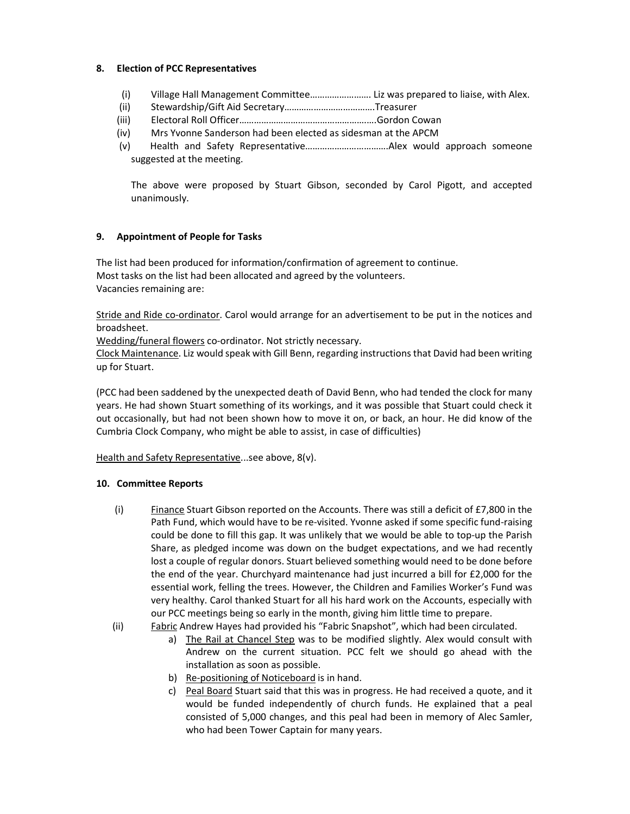### 8. Election of PCC Representatives

- (i) Village Hall Management Committee……………………. Liz was prepared to liaise, with Alex.
- (ii) Stewardship/Gift Aid Secretary……………………………….Treasurer
- (iii) Electoral Roll Officer…………………………………………….….Gordon Cowan
- (iv) Mrs Yvonne Sanderson had been elected as sidesman at the APCM
- (v) Health and Safety Representative…………………………….Alex would approach someone suggested at the meeting.

The above were proposed by Stuart Gibson, seconded by Carol Pigott, and accepted unanimously.

### 9. Appointment of People for Tasks

The list had been produced for information/confirmation of agreement to continue. Most tasks on the list had been allocated and agreed by the volunteers. Vacancies remaining are:

Stride and Ride co-ordinator. Carol would arrange for an advertisement to be put in the notices and broadsheet.

Wedding/funeral flowers co-ordinator. Not strictly necessary.

Clock Maintenance. Liz would speak with Gill Benn, regarding instructions that David had been writing up for Stuart.

(PCC had been saddened by the unexpected death of David Benn, who had tended the clock for many years. He had shown Stuart something of its workings, and it was possible that Stuart could check it out occasionally, but had not been shown how to move it on, or back, an hour. He did know of the Cumbria Clock Company, who might be able to assist, in case of difficulties)

Health and Safety Representative...see above, 8(v).

### 10. Committee Reports

- (i) Finance Stuart Gibson reported on the Accounts. There was still a deficit of £7,800 in the Path Fund, which would have to be re-visited. Yvonne asked if some specific fund-raising could be done to fill this gap. It was unlikely that we would be able to top-up the Parish Share, as pledged income was down on the budget expectations, and we had recently lost a couple of regular donors. Stuart believed something would need to be done before the end of the year. Churchyard maintenance had just incurred a bill for £2,000 for the essential work, felling the trees. However, the Children and Families Worker's Fund was very healthy. Carol thanked Stuart for all his hard work on the Accounts, especially with our PCC meetings being so early in the month, giving him little time to prepare.
- (ii) Fabric Andrew Hayes had provided his "Fabric Snapshot", which had been circulated.
	- a) The Rail at Chancel Step was to be modified slightly. Alex would consult with Andrew on the current situation. PCC felt we should go ahead with the installation as soon as possible.
	- b) Re-positioning of Noticeboard is in hand.
	- c) Peal Board Stuart said that this was in progress. He had received a quote, and it would be funded independently of church funds. He explained that a peal consisted of 5,000 changes, and this peal had been in memory of Alec Samler, who had been Tower Captain for many years.